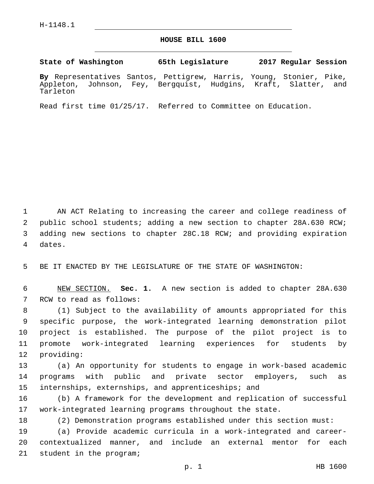## **HOUSE BILL 1600**

**State of Washington 65th Legislature 2017 Regular Session**

**By** Representatives Santos, Pettigrew, Harris, Young, Stonier, Pike, Appleton, Johnson, Fey, Bergquist, Hudgins, Kraft, Slatter, and Tarleton

Read first time 01/25/17. Referred to Committee on Education.

 AN ACT Relating to increasing the career and college readiness of public school students; adding a new section to chapter 28A.630 RCW; adding new sections to chapter 28C.18 RCW; and providing expiration 4 dates.

5 BE IT ENACTED BY THE LEGISLATURE OF THE STATE OF WASHINGTON:

6 NEW SECTION. **Sec. 1.** A new section is added to chapter 28A.630 7 RCW to read as follows:

 (1) Subject to the availability of amounts appropriated for this specific purpose, the work-integrated learning demonstration pilot project is established. The purpose of the pilot project is to promote work-integrated learning experiences for students by 12 providing:

13 (a) An opportunity for students to engage in work-based academic 14 programs with public and private sector employers, such as 15 internships, externships, and apprenticeships; and

16 (b) A framework for the development and replication of successful 17 work-integrated learning programs throughout the state.

18 (2) Demonstration programs established under this section must:

19 (a) Provide academic curricula in a work-integrated and career-20 contextualized manner, and include an external mentor for each 21 student in the program;

p. 1 HB 1600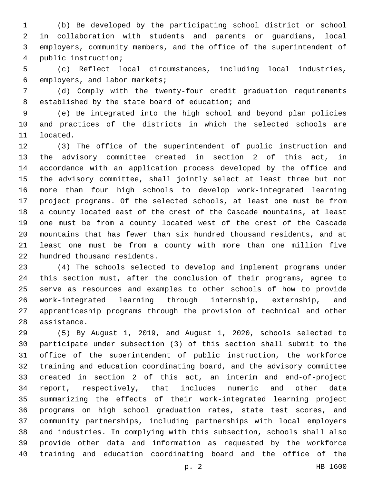(b) Be developed by the participating school district or school in collaboration with students and parents or guardians, local employers, community members, and the office of the superintendent of public instruction;4

 (c) Reflect local circumstances, including local industries, 6 employers, and labor markets;

 (d) Comply with the twenty-four credit graduation requirements 8 established by the state board of education; and

 (e) Be integrated into the high school and beyond plan policies and practices of the districts in which the selected schools are 11 located.

 (3) The office of the superintendent of public instruction and the advisory committee created in section 2 of this act, in accordance with an application process developed by the office and the advisory committee, shall jointly select at least three but not more than four high schools to develop work-integrated learning project programs. Of the selected schools, at least one must be from a county located east of the crest of the Cascade mountains, at least one must be from a county located west of the crest of the Cascade mountains that has fewer than six hundred thousand residents, and at least one must be from a county with more than one million five 22 hundred thousand residents.

 (4) The schools selected to develop and implement programs under this section must, after the conclusion of their programs, agree to serve as resources and examples to other schools of how to provide work-integrated learning through internship, externship, and apprenticeship programs through the provision of technical and other 28 assistance.

 (5) By August 1, 2019, and August 1, 2020, schools selected to participate under subsection (3) of this section shall submit to the office of the superintendent of public instruction, the workforce training and education coordinating board, and the advisory committee created in section 2 of this act, an interim and end-of-project report, respectively, that includes numeric and other data summarizing the effects of their work-integrated learning project programs on high school graduation rates, state test scores, and community partnerships, including partnerships with local employers and industries. In complying with this subsection, schools shall also provide other data and information as requested by the workforce training and education coordinating board and the office of the

p. 2 HB 1600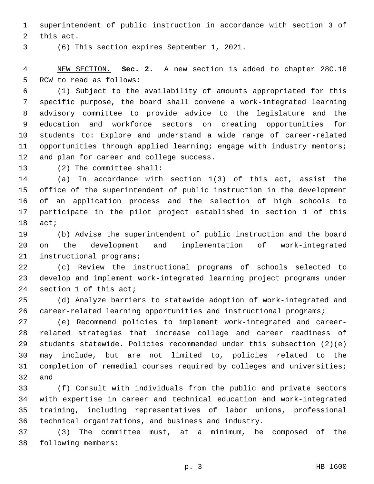superintendent of public instruction in accordance with section 3 of 2 this act.

(6) This section expires September 1, 2021.3

 NEW SECTION. **Sec. 2.** A new section is added to chapter 28C.18 5 RCW to read as follows:

 (1) Subject to the availability of amounts appropriated for this specific purpose, the board shall convene a work-integrated learning advisory committee to provide advice to the legislature and the education and workforce sectors on creating opportunities for students to: Explore and understand a wide range of career-related 11 opportunities through applied learning; engage with industry mentors; 12 and plan for career and college success.

13 (2) The committee shall:

 (a) In accordance with section 1(3) of this act, assist the office of the superintendent of public instruction in the development of an application process and the selection of high schools to participate in the pilot project established in section 1 of this 18 act;

 (b) Advise the superintendent of public instruction and the board on the development and implementation of work-integrated 21 instructional programs;

 (c) Review the instructional programs of schools selected to develop and implement work-integrated learning project programs under 24 section 1 of this act;

 (d) Analyze barriers to statewide adoption of work-integrated and 26 career-related learning opportunities and instructional programs;

 (e) Recommend policies to implement work-integrated and career- related strategies that increase college and career readiness of students statewide. Policies recommended under this subsection (2)(e) may include, but are not limited to, policies related to the completion of remedial courses required by colleges and universities; and

 (f) Consult with individuals from the public and private sectors with expertise in career and technical education and work-integrated training, including representatives of labor unions, professional technical organizations, and business and industry.

 (3) The committee must, at a minimum, be composed of the 38 following members: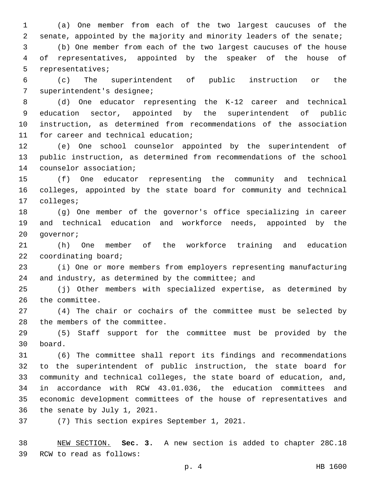(a) One member from each of the two largest caucuses of the senate, appointed by the majority and minority leaders of the senate;

 (b) One member from each of the two largest caucuses of the house of representatives, appointed by the speaker of the house of 5 representatives;

 (c) The superintendent of public instruction or the 7 superintendent's designee;

 (d) One educator representing the K-12 career and technical education sector, appointed by the superintendent of public instruction, as determined from recommendations of the association 11 for career and technical education;

 (e) One school counselor appointed by the superintendent of public instruction, as determined from recommendations of the school 14 counselor association;

 (f) One educator representing the community and technical colleges, appointed by the state board for community and technical 17 colleges;

 (g) One member of the governor's office specializing in career and technical education and workforce needs, appointed by the 20 governor;

 (h) One member of the workforce training and education 22 coordinating board;

 (i) One or more members from employers representing manufacturing 24 and industry, as determined by the committee; and

 (j) Other members with specialized expertise, as determined by 26 the committee.

 (4) The chair or cochairs of the committee must be selected by 28 the members of the committee.

 (5) Staff support for the committee must be provided by the board.30

 (6) The committee shall report its findings and recommendations to the superintendent of public instruction, the state board for community and technical colleges, the state board of education, and, in accordance with RCW 43.01.036, the education committees and economic development committees of the house of representatives and 36 the senate by July 1, 2021.

37 (7) This section expires September 1, 2021.

 NEW SECTION. **Sec. 3.** A new section is added to chapter 28C.18 39 RCW to read as follows: